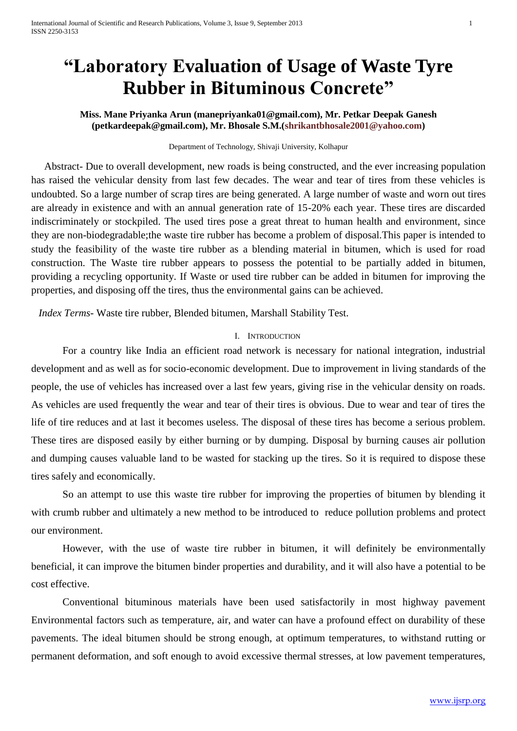# **"Laboratory Evaluation of Usage of Waste Tyre Rubber in Bituminous Concrete"**

**Miss. Mane Priyanka Arun (manepriyanka01@gmail.com), Mr. Petkar Deepak Ganesh (petkardeepak@gmail.com), Mr. Bhosale S.M.[\(shrikantbhosale2001@yahoo.com\)](mailto:shrikantbhosale2001@yahoo.com)**

### Department of Technology, Shivaji University, Kolhapur

 Abstract- Due to overall development, new roads is being constructed, and the ever increasing population has raised the vehicular density from last few decades. The wear and tear of tires from these vehicles is undoubted. So a large number of scrap tires are being generated. A large number of waste and worn out tires are already in existence and with an annual generation rate of 15-20% each year. These tires are discarded indiscriminately or stockpiled. The used tires pose a great threat to human health and environment, since they are non-biodegradable;the waste tire rubber has become a problem of disposal.This paper is intended to study the feasibility of the waste tire rubber as a blending material in bitumen, which is used for road construction. The Waste tire rubber appears to possess the potential to be partially added in bitumen, providing a recycling opportunity. If Waste or used tire rubber can be added in bitumen for improving the properties, and disposing off the tires, thus the environmental gains can be achieved.

*Index Terms*- Waste tire rubber, Blended bitumen, Marshall Stability Test.

#### I. INTRODUCTION

For a country like India an efficient road network is necessary for national integration, industrial development and as well as for socio-economic development. Due to improvement in living standards of the people, the use of vehicles has increased over a last few years, giving rise in the vehicular density on roads. As vehicles are used frequently the wear and tear of their tires is obvious. Due to wear and tear of tires the life of tire reduces and at last it becomes useless. The disposal of these tires has become a serious problem. These tires are disposed easily by either burning or by dumping. Disposal by burning causes air pollution and dumping causes valuable land to be wasted for stacking up the tires. So it is required to dispose these tires safely and economically.

So an attempt to use this waste tire rubber for improving the properties of bitumen by blending it with crumb rubber and ultimately a new method to be introduced to reduce pollution problems and protect our environment.

However, with the use of waste tire rubber in bitumen, it will definitely be environmentally beneficial, it can improve the bitumen binder properties and durability, and it will also have a potential to be cost effective.

Conventional bituminous materials have been used satisfactorily in most highway pavement Environmental factors such as temperature, air, and water can have a profound effect on durability of these pavements. The ideal bitumen should be strong enough, at optimum temperatures, to withstand rutting or permanent deformation, and soft enough to avoid excessive thermal stresses, at low pavement temperatures,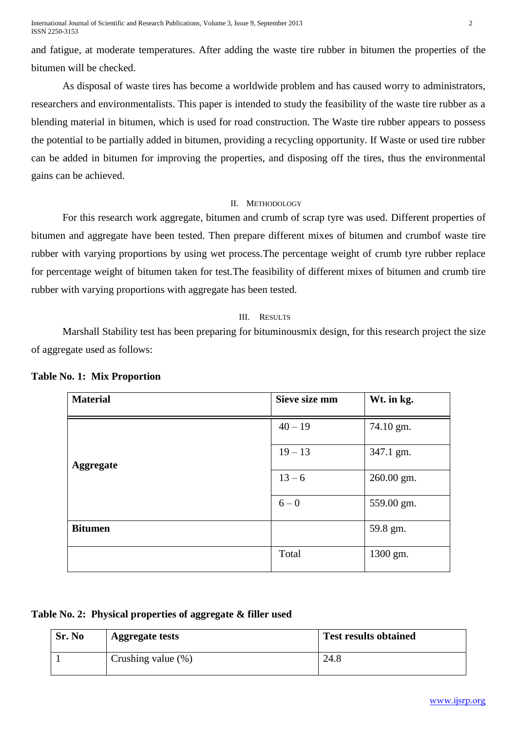International Journal of Scientific and Research Publications, Volume 3, Issue 9, September 2013 2 ISSN 2250-3153

and fatigue, at moderate temperatures. After adding the waste tire rubber in bitumen the properties of the bitumen will be checked.

As disposal of waste tires has become a worldwide problem and has caused worry to administrators, researchers and environmentalists. This paper is intended to study the feasibility of the waste tire rubber as a blending material in bitumen, which is used for road construction. The Waste tire rubber appears to possess the potential to be partially added in bitumen, providing a recycling opportunity. If Waste or used tire rubber can be added in bitumen for improving the properties, and disposing off the tires, thus the environmental gains can be achieved.

#### II. METHODOLOGY

For this research work aggregate, bitumen and crumb of scrap tyre was used. Different properties of bitumen and aggregate have been tested. Then prepare different mixes of bitumen and crumbof waste tire rubber with varying proportions by using wet process.The percentage weight of crumb tyre rubber replace for percentage weight of bitumen taken for test.The feasibility of different mixes of bitumen and crumb tire rubber with varying proportions with aggregate has been tested.

#### III. RESULTS

Marshall Stability test has been preparing for bituminousmix design, for this research project the size of aggregate used as follows:

| <b>Material</b>  | Sieve size mm | Wt. in kg. |
|------------------|---------------|------------|
|                  | $40 - 19$     | 74.10 gm.  |
| <b>Aggregate</b> | $19 - 13$     | 347.1 gm.  |
|                  | $13 - 6$      | 260.00 gm. |
|                  | $6 - 0$       | 559.00 gm. |
| <b>Bitumen</b>   |               | 59.8 gm.   |
|                  | Total         | 1300 gm.   |

**Table No. 1: Mix Proportion** 

|  |  |  |  | Table No. 2: Physical properties of aggregate & filler used |
|--|--|--|--|-------------------------------------------------------------|
|--|--|--|--|-------------------------------------------------------------|

| Sr. No | <b>Aggregate tests</b> | <b>Test results obtained</b> |
|--------|------------------------|------------------------------|
|        | Crushing value $(\%)$  | 24.8                         |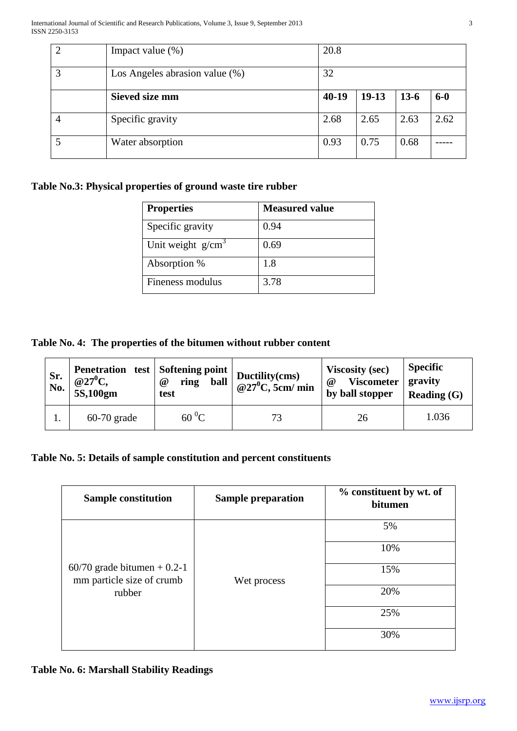|   | Impact value $(\%)$               | 20.8    |         |        |       |
|---|-----------------------------------|---------|---------|--------|-------|
| 3 | Los Angeles abrasion value $(\%)$ | 32      |         |        |       |
|   | <b>Sieved size mm</b>             | $40-19$ | $19-13$ | $13-6$ | $6-0$ |
|   | Specific gravity                  | 2.68    | 2.65    | 2.63   | 2.62  |
|   | Water absorption                  | 0.93    | 0.75    | 0.68   |       |

### **Table No.3: Physical properties of ground waste tire rubber**

| <b>Properties</b>   | <b>Measured value</b> |
|---------------------|-----------------------|
| Specific gravity    | 0.94                  |
| Unit weight $g/cm3$ | 0.69                  |
| Absorption %        | 1.8                   |
| Fineness modulus    | 3.78                  |

**Table No. 4: The properties of the bitumen without rubber content** 

| Sr.<br>No. | Penetration test   Softening point  <br>$@27^0C,$<br>5S,100gm | ball<br>ring<br>$\omega$<br>test | $\begin{array}{c} \mid \text{Ductility}(\text{cms}) \\ \text{@} 27^0\text{C}, 5\text{cm}/\text{min} \end{array}$ | <b>Viscosity (sec)</b><br><b>Viscometer</b><br>@<br>by ball stopper | <b>Specific</b><br>gravity<br>Reading $(G)$ |
|------------|---------------------------------------------------------------|----------------------------------|------------------------------------------------------------------------------------------------------------------|---------------------------------------------------------------------|---------------------------------------------|
|            | $60-70$ grade                                                 | $60\,^0C$                        |                                                                                                                  | 26                                                                  | 1.036                                       |

# **Table No. 5: Details of sample constitution and percent constituents**

| <b>Sample constitution</b>                                           | <b>Sample preparation</b> | % constituent by wt. of<br>bitumen |
|----------------------------------------------------------------------|---------------------------|------------------------------------|
| $60/70$ grade bitumen + 0.2-1<br>mm particle size of crumb<br>rubber |                           | 5%                                 |
|                                                                      |                           | 10%                                |
|                                                                      | Wet process               | 15%                                |
|                                                                      |                           | 20%                                |
|                                                                      |                           | 25%                                |
|                                                                      |                           | 30%                                |

### **Table No. 6: Marshall Stability Readings**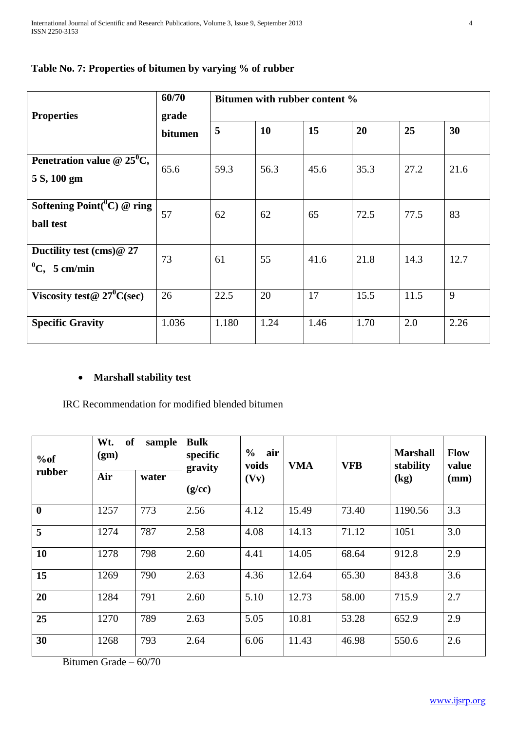| <b>Properties</b>                                       | 60/70<br>grade | Bitumen with rubber content % |           |      |      |      |      |
|---------------------------------------------------------|----------------|-------------------------------|-----------|------|------|------|------|
|                                                         | bitumen        | 5                             | <b>10</b> | 15   | 20   | 25   | 30   |
| Penetration value $@ 25$ <sup>0</sup> C,<br>5 S, 100 gm | 65.6           | 59.3                          | 56.3      | 45.6 | 35.3 | 27.2 | 21.6 |
| Softening $Point({}^0C)$ @ ring<br><b>ball</b> test     | 57             | 62                            | 62        | 65   | 72.5 | 77.5 | 83   |
| Ductility test (cms)@ 27<br>${}^{0}C$ , 5 cm/min        | 73             | 61                            | 55        | 41.6 | 21.8 | 14.3 | 12.7 |
| Viscosity test@ $27^0C(\text{sec})$                     | 26             | 22.5                          | 20        | 17   | 15.5 | 11.5 | 9    |
| <b>Specific Gravity</b>                                 | 1.036          | 1.180                         | 1.24      | 1.46 | 1.70 | 2.0  | 2.26 |

# **Table No. 7: Properties of bitumen by varying % of rubber**

## **Marshall stability test**

IRC Recommendation for modified blended bitumen

| %of              | Wt.<br><b>of</b><br>sample<br>(gm) |       | <b>Bulk</b><br>$\frac{6}{9}$<br>specific<br>gravity | air<br>voids | <b>VMA</b> | <b>VFB</b> | <b>Marshall</b><br>stability | <b>Flow</b><br>value |
|------------------|------------------------------------|-------|-----------------------------------------------------|--------------|------------|------------|------------------------------|----------------------|
| rubber           | Air                                | water | (g/cc)                                              | (Vv)         |            |            | (kg)                         | (mm)                 |
| $\boldsymbol{0}$ | 1257                               | 773   | 2.56                                                | 4.12         | 15.49      | 73.40      | 1190.56                      | 3.3                  |
| 5                | 1274                               | 787   | 2.58                                                | 4.08         | 14.13      | 71.12      | 1051                         | 3.0                  |
| 10               | 1278                               | 798   | 2.60                                                | 4.41         | 14.05      | 68.64      | 912.8                        | 2.9                  |
| 15               | 1269                               | 790   | 2.63                                                | 4.36         | 12.64      | 65.30      | 843.8                        | 3.6                  |
| 20               | 1284                               | 791   | 2.60                                                | 5.10         | 12.73      | 58.00      | 715.9                        | 2.7                  |
| 25               | 1270                               | 789   | 2.63                                                | 5.05         | 10.81      | 53.28      | 652.9                        | 2.9                  |
| 30               | 1268                               | 793   | 2.64                                                | 6.06         | 11.43      | 46.98      | 550.6                        | 2.6                  |

Bitumen Grade – 60/70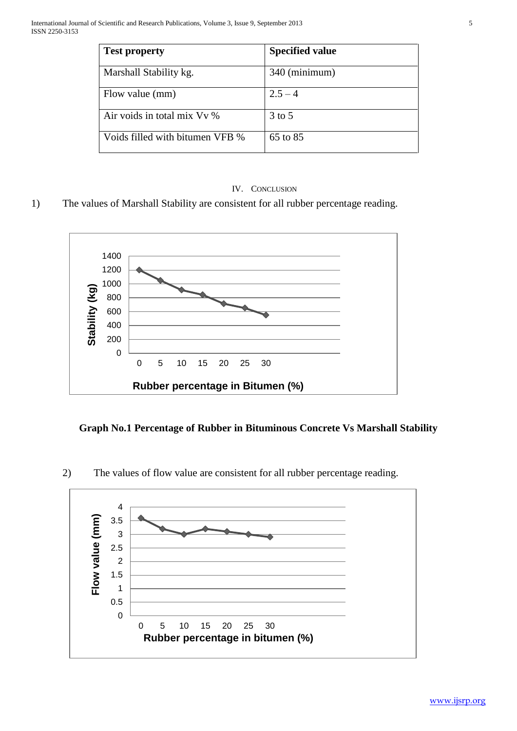| <b>Test property</b>            | <b>Specified value</b> |
|---------------------------------|------------------------|
| Marshall Stability kg.          | 340 (minimum)          |
| Flow value (mm)                 | $2.5 - 4$              |
| Air voids in total mix Vv %     | $3$ to $5$             |
| Voids filled with bitumen VFB % | 65 to 85               |

### IV. CONCLUSION

1) The values of Marshall Stability are consistent for all rubber percentage reading.



### **Graph No.1 Percentage of Rubber in Bituminous Concrete Vs Marshall Stability**

2) The values of flow value are consistent for all rubber percentage reading.

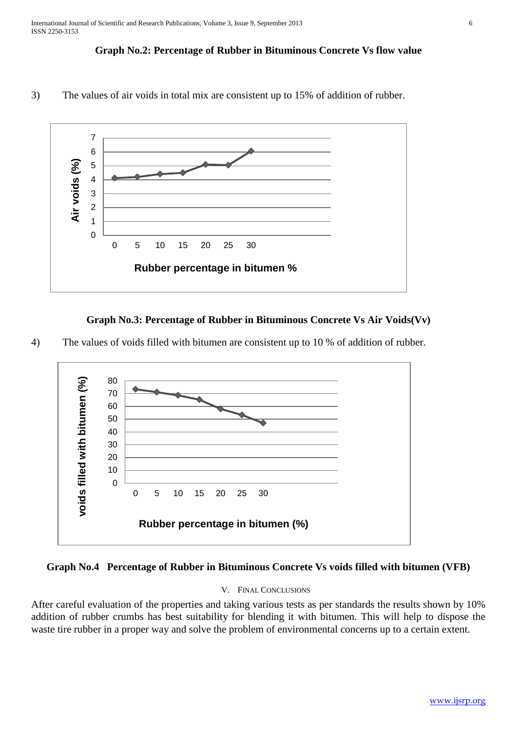### **Graph No.2: Percentage of Rubber in Bituminous Concrete Vs flow value**

3) The values of air voids in total mix are consistent up to 15% of addition of rubber.



### **Graph No.3: Percentage of Rubber in Bituminous Concrete Vs Air Voids(Vv)**

4) The values of voids filled with bitumen are consistent up to 10 % of addition of rubber.





### V. FINAL CONCLUSIONS

After careful evaluation of the properties and taking various tests as per standards the results shown by 10% addition of rubber crumbs has best suitability for blending it with bitumen. This will help to dispose the waste tire rubber in a proper way and solve the problem of environmental concerns up to a certain extent.